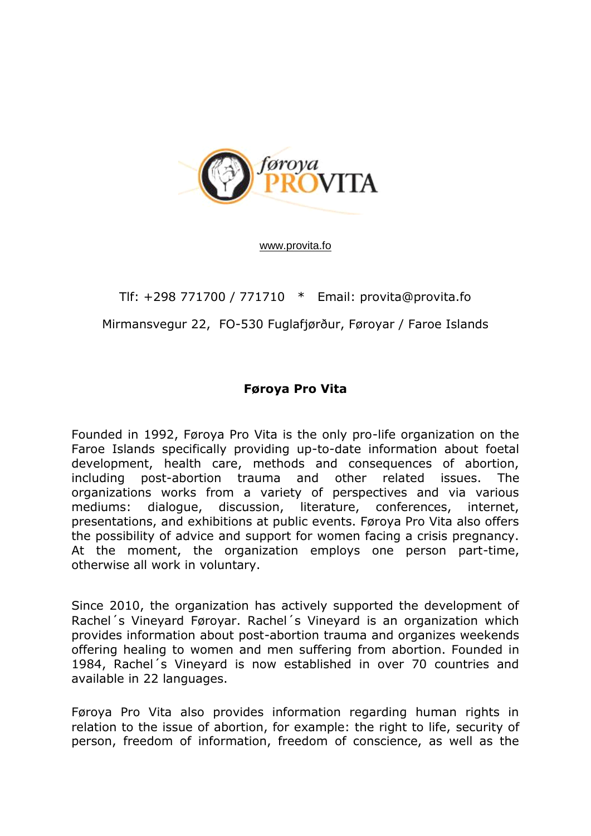

[www.provita.fo](http://www.provita.fo/)

## Tlf: +298 771700 / 771710 \* Email: provita@provita.fo Mirmansvegur 22, FO-530 Fuglafjørður, Føroyar / Faroe Islands

## **Føroya Pro Vita**

Founded in 1992, Føroya Pro Vita is the only pro-life organization on the Faroe Islands specifically providing up-to-date information about foetal development, health care, methods and consequences of abortion, including post-abortion trauma and other related issues. The organizations works from a variety of perspectives and via various mediums: dialogue, discussion, literature, conferences, internet, presentations, and exhibitions at public events. Føroya Pro Vita also offers the possibility of advice and support for women facing a crisis pregnancy. At the moment, the organization employs one person part-time, otherwise all work in voluntary.

Since 2010, the organization has actively supported the development of Rachel´s Vineyard Føroyar. Rachel´s Vineyard is an organization which provides information about post-abortion trauma and organizes weekends offering healing to women and men suffering from abortion. Founded in 1984, Rachel´s Vineyard is now established in over 70 countries and available in 22 languages.

Føroya Pro Vita also provides information regarding human rights in relation to the issue of abortion, for example: the right to life, security of person, freedom of information, freedom of conscience, as well as the